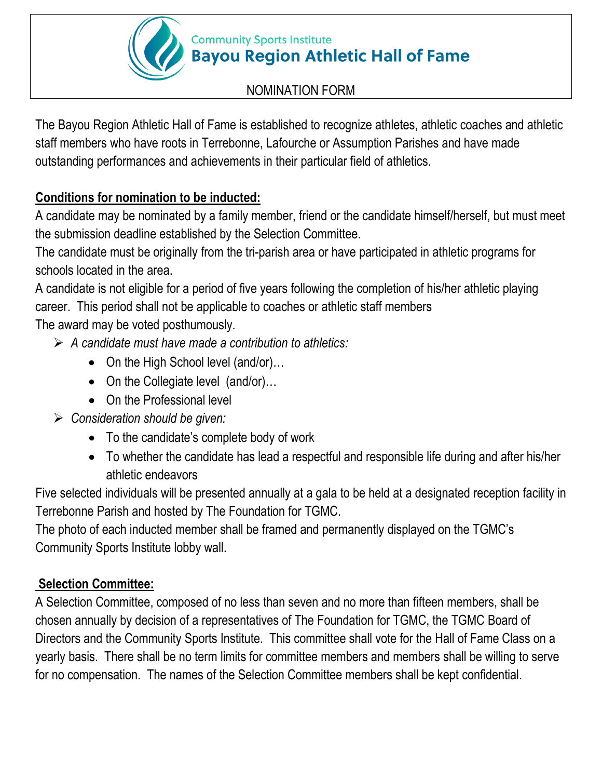#### **Community Sports Institute Bayou Region Athletic Hall of Fame**

## NOMINATION FORM

The Bayou Region Athletic Hall of Fame is established to recognize athletes, athletic coaches and athletic staff members who have roots in Terrebonne, Lafourche or Assumption Parishes and have made outstanding performances and achievements in their particular field of athletics.

# **Conditions for nomination to be inducted:**

A candidate may be nominated by a family member, friend or the candidate himself/herself, but must meet the submission deadline established by the Selection Committee.

The candidate must be originally from the tri-parish area or have participated in athletic programs for schools located in the area.

A candidate is not eligible for a period of five years following the completion of his/her athletic playing career. This period shall not be applicable to coaches or athletic staff members

The award may be voted posthumously.

- *A candidate must have made a contribution to athletics:*
	- On the High School level (and/or)...
	- On the Collegiate level (and/or)...
	- On the Professional level
- *Consideration should be given:*
	- To the candidate's complete body of work
	- To whether the candidate has lead a respectful and responsible life during and after his/her athletic endeavors

Five selected individuals will be presented annually at a gala to be held at a designated reception facility in Terrebonne Parish and hosted by The Foundation for TGMC.

The photo of each inducted member shall be framed and permanently displayed on the TGMC's Community Sports Institute lobby wall.

### **Selection Committee:**

A Selection Committee, composed of no less than seven and no more than fifteen members, shall be chosen annually by decision of a representatives of The Foundation for TGMC, the TGMC Board of Directors and the Community Sports Institute. This committee shall vote for the Hall of Fame Class on a yearly basis. There shall be no term limits for committee members and members shall be willing to serve for no compensation. The names of the Selection Committee members shall be kept confidential.